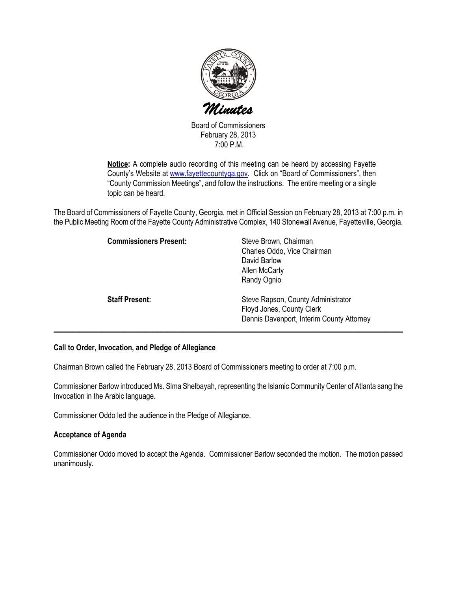

Board of Commissioners February 28, 2013 7:00 P.M.

Notice: A complete audio recording of this meeting can be heard by accessing Fayette County's Website at www.fayettecountyga.gov. Click on "Board of Commissioners", then "County Commission Meetings", and follow the instructions. The entire meeting or a single topic can be heard.

The Board of Commissioners of Fayette County, Georgia, met in Official Session on February 28, 2013 at 7:00 p.m. in the Public Meeting Room of the Fayette County Administrative Complex, 140 Stonewall Avenue, Fayetteville, Georgia.

| <b>Commissioners Present:</b> | Steve Brown, Chairman<br>Charles Oddo, Vice Chairman<br>David Barlow<br>Allen McCarty<br>Randy Ognio         |
|-------------------------------|--------------------------------------------------------------------------------------------------------------|
| <b>Staff Present:</b>         | Steve Rapson, County Administrator<br>Floyd Jones, County Clerk<br>Dennis Davenport, Interim County Attorney |

#### Call to Order, Invocation, and Pledge of Allegiance

Chairman Brown called the February 28, 2013 Board of Commissioners meeting to order at 7:00 p.m.

Commissioner Barlow introduced Ms. Slma Shelbayah, representing the Islamic Community Center of Atlanta sang the Invocation in the Arabic language.

Commissioner Oddo led the audience in the Pledge of Allegiance.

#### Acceptance of Agenda

Commissioner Oddo moved to accept the Agenda. Commissioner Barlow seconded the motion. The motion passed unanimously.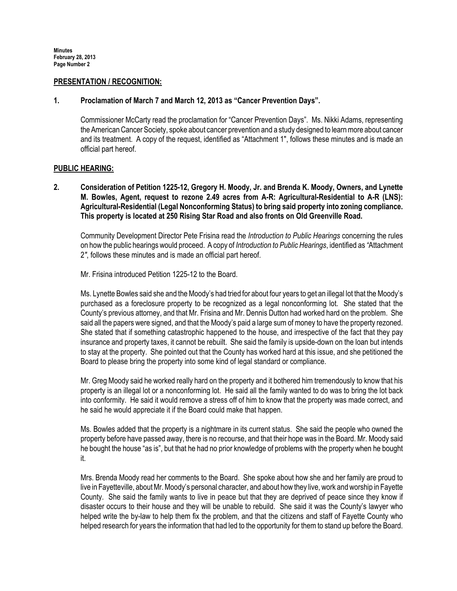#### PRESENTATION / RECOGNITION:

#### 1. Proclamation of March 7 and March 12, 2013 as "Cancer Prevention Days".

Commissioner McCarty read the proclamation for "Cancer Prevention Days". Ms. Nikki Adams, representing the American Cancer Society, spoke about cancer prevention and a study designed to learn more about cancer and its treatment. A copy of the request, identified as "Attachment 1", follows these minutes and is made an official part hereof.

#### PUBLIC HEARING:

2. Consideration of Petition 1225-12, Gregory H. Moody, Jr. and Brenda K. Moody, Owners, and Lynette M. Bowles, Agent, request to rezone 2.49 acres from A-R: Agricultural-Residential to A-R (LNS): Agricultural-Residential (Legal Nonconforming Status) to bring said property into zoning compliance. This property is located at 250 Rising Star Road and also fronts on Old Greenville Road.

Community Development Director Pete Frisina read the Introduction to Public Hearings concerning the rules on how the public hearings would proceed. A copy of Introduction to Public Hearings, identified as "Attachment 2", follows these minutes and is made an official part hereof.

Mr. Frisina introduced Petition 1225-12 to the Board.

Ms. Lynette Bowles said she and the Moody's had tried for about four years to get an illegal lot that the Moody's purchased as a foreclosure property to be recognized as a legal nonconforming lot. She stated that the County's previous attorney, and that Mr. Frisina and Mr. Dennis Dutton had worked hard on the problem. She said all the papers were signed, and that the Moody's paid a large sum of money to have the property rezoned. She stated that if something catastrophic happened to the house, and irrespective of the fact that they pay insurance and property taxes, it cannot be rebuilt. She said the family is upside-down on the loan but intends to stay at the property. She pointed out that the County has worked hard at this issue, and she petitioned the Board to please bring the property into some kind of legal standard or compliance.

Mr. Greg Moody said he worked really hard on the property and it bothered him tremendously to know that his property is an illegal lot or a nonconforming lot. He said all the family wanted to do was to bring the lot back into conformity. He said it would remove a stress off of him to know that the property was made correct, and he said he would appreciate it if the Board could make that happen.

Ms. Bowles added that the property is a nightmare in its current status. She said the people who owned the property before have passed away, there is no recourse, and that their hope was in the Board. Mr. Moody said he bought the house "as is", but that he had no prior knowledge of problems with the property when he bought it.

Mrs. Brenda Moody read her comments to the Board. She spoke about how she and her family are proud to live in Fayetteville, about Mr. Moody's personal character, and about how they live, work and worship in Fayette County. She said the family wants to live in peace but that they are deprived of peace since they know if disaster occurs to their house and they will be unable to rebuild. She said it was the County's lawyer who helped write the by-law to help them fix the problem, and that the citizens and staff of Fayette County who helped research for years the information that had led to the opportunity for them to stand up before the Board.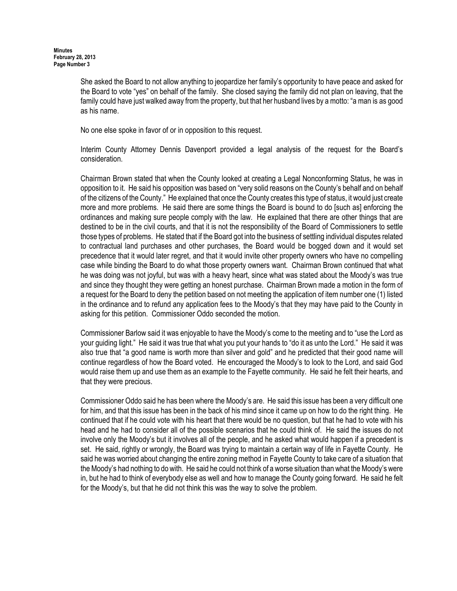She asked the Board to not allow anything to jeopardize her family's opportunity to have peace and asked for the Board to vote "yes" on behalf of the family. She closed saying the family did not plan on leaving, that the family could have just walked away from the property, but that her husband lives by a motto: "a man is as good as his name.

No one else spoke in favor of or in opposition to this request.

Interim County Attorney Dennis Davenport provided a legal analysis of the request for the Board's consideration.

Chairman Brown stated that when the County looked at creating a Legal Nonconforming Status, he was in opposition to it. He said his opposition was based on "very solid reasons on the County's behalf and on behalf of the citizens of the County." He explained that once the County creates this type of status, it would just create more and more problems. He said there are some things the Board is bound to do [such as] enforcing the ordinances and making sure people comply with the law. He explained that there are other things that are destined to be in the civil courts, and that it is not the responsibility of the Board of Commissioners to settle those types of problems. He stated that if the Board got into the business of settling individual disputes related to contractual land purchases and other purchases, the Board would be bogged down and it would set precedence that it would later regret, and that it would invite other property owners who have no compelling case while binding the Board to do what those property owners want. Chairman Brown continued that what he was doing was not joyful, but was with a heavy heart, since what was stated about the Moody's was true and since they thought they were getting an honest purchase. Chairman Brown made a motion in the form of a request for the Board to deny the petition based on not meeting the application of item number one (1) listed in the ordinance and to refund any application fees to the Moody's that they may have paid to the County in asking for this petition. Commissioner Oddo seconded the motion.

Commissioner Barlow said it was enjoyable to have the Moody's come to the meeting and to "use the Lord as your guiding light." He said it was true that what you put your hands to "do it as unto the Lord." He said it was also true that "a good name is worth more than silver and gold" and he predicted that their good name will continue regardless of how the Board voted. He encouraged the Moody's to look to the Lord, and said God would raise them up and use them as an example to the Fayette community. He said he felt their hearts, and that they were precious.

Commissioner Oddo said he has been where the Moody's are. He said this issue has been a very difficult one for him, and that this issue has been in the back of his mind since it came up on how to do the right thing. He continued that if he could vote with his heart that there would be no question, but that he had to vote with his head and he had to consider all of the possible scenarios that he could think of. He said the issues do not involve only the Moody's but it involves all of the people, and he asked what would happen if a precedent is set. He said, rightly or wrongly, the Board was trying to maintain a certain way of life in Fayette County. He said he was worried about changing the entire zoning method in Fayette County to take care of a situation that the Moody's had nothing to do with. He said he could not think of a worse situation than what the Moody's were in, but he had to think of everybody else as well and how to manage the County going forward. He said he felt for the Moody's, but that he did not think this was the way to solve the problem.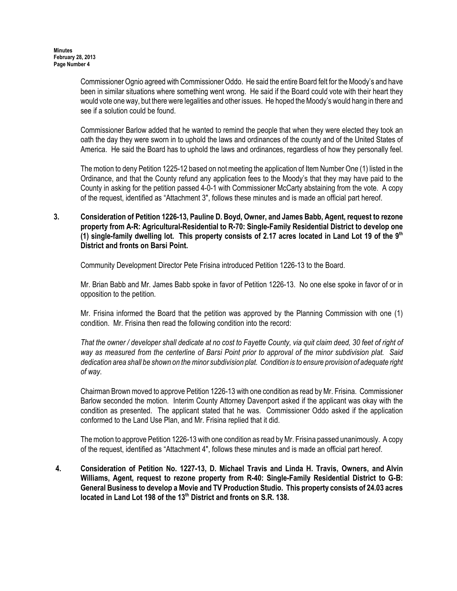Commissioner Ognio agreed with Commissioner Oddo. He said the entire Board felt for the Moody's and have been in similar situations where something went wrong. He said if the Board could vote with their heart they would vote one way, but there were legalities and other issues. He hoped the Moody's would hang in there and see if a solution could be found.

Commissioner Barlow added that he wanted to remind the people that when they were elected they took an oath the day they were sworn in to uphold the laws and ordinances of the county and of the United States of America. He said the Board has to uphold the laws and ordinances, regardless of how they personally feel.

The motion to deny Petition 1225-12 based on not meeting the application of Item Number One (1) listed in the Ordinance, and that the County refund any application fees to the Moody's that they may have paid to the County in asking for the petition passed 4-0-1 with Commissioner McCarty abstaining from the vote. A copy of the request, identified as "Attachment 3", follows these minutes and is made an official part hereof.

3. Consideration of Petition 1226-13, Pauline D. Boyd, Owner, and James Babb, Agent, request to rezone property from A-R: Agricultural-Residential to R-70: Single-Family Residential District to develop one (1) single-family dwelling lot. This property consists of 2.17 acres located in Land Lot 19 of the  $9<sup>th</sup>$ District and fronts on Barsi Point.

Community Development Director Pete Frisina introduced Petition 1226-13 to the Board.

Mr. Brian Babb and Mr. James Babb spoke in favor of Petition 1226-13. No one else spoke in favor of or in opposition to the petition.

Mr. Frisina informed the Board that the petition was approved by the Planning Commission with one (1) condition. Mr. Frisina then read the following condition into the record:

That the owner / developer shall dedicate at no cost to Fayette County, via quit claim deed, 30 feet of right of way as measured from the centerline of Barsi Point prior to approval of the minor subdivision plat. Said dedication area shall be shown on the minor subdivision plat. Condition is to ensure provision of adequate right of way.

Chairman Brown moved to approve Petition 1226-13 with one condition as read by Mr. Frisina. Commissioner Barlow seconded the motion. Interim County Attorney Davenport asked if the applicant was okay with the condition as presented. The applicant stated that he was. Commissioner Oddo asked if the application conformed to the Land Use Plan, and Mr. Frisina replied that it did.

The motion to approve Petition 1226-13 with one condition as read by Mr. Frisina passed unanimously. A copy of the request, identified as "Attachment 4", follows these minutes and is made an official part hereof.

4. Consideration of Petition No. 1227-13, D. Michael Travis and Linda H. Travis, Owners, and Alvin Williams, Agent, request to rezone property from R-40: Single-Family Residential District to G-B: General Business to develop a Movie and TV Production Studio. This property consists of 24.03 acres located in Land Lot 198 of the 13<sup>th</sup> District and fronts on S.R. 138.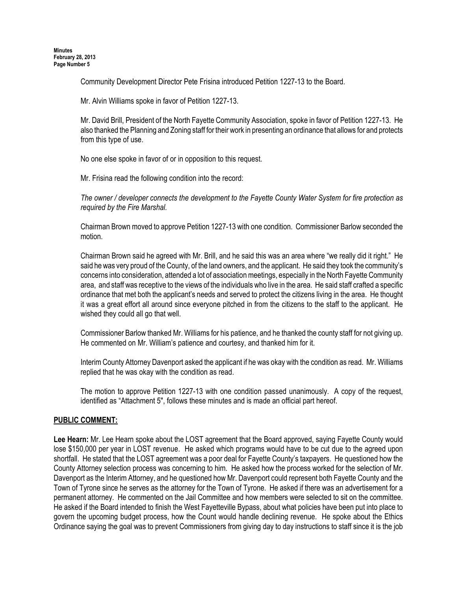Community Development Director Pete Frisina introduced Petition 1227-13 to the Board.

Mr. Alvin Williams spoke in favor of Petition 1227-13.

Mr. David Brill, President of the North Fayette Community Association, spoke in favor of Petition 1227-13. He also thanked the Planning and Zoning staff for their work in presenting an ordinance that allows for and protects from this type of use.

No one else spoke in favor of or in opposition to this request.

Mr. Frisina read the following condition into the record:

The owner / developer connects the development to the Fayette County Water System for fire protection as required by the Fire Marshal.

Chairman Brown moved to approve Petition 1227-13 with one condition. Commissioner Barlow seconded the motion.

Chairman Brown said he agreed with Mr. Brill, and he said this was an area where "we really did it right." He said he was very proud of the County, of the land owners, and the applicant. He said they took the community's concerns into consideration, attended a lot of association meetings, especially in the North Fayette Community area, and staff was receptive to the views of the individuals who live in the area. He said staff crafted a specific ordinance that met both the applicant's needs and served to protect the citizens living in the area. He thought it was a great effort all around since everyone pitched in from the citizens to the staff to the applicant. He wished they could all go that well.

Commissioner Barlow thanked Mr. Williams for his patience, and he thanked the county staff for not giving up. He commented on Mr. William's patience and courtesy, and thanked him for it.

Interim County Attorney Davenport asked the applicant if he was okay with the condition as read. Mr. Williams replied that he was okay with the condition as read.

The motion to approve Petition 1227-13 with one condition passed unanimously. A copy of the request, identified as "Attachment 5", follows these minutes and is made an official part hereof.

# PUBLIC COMMENT:

Lee Hearn: Mr. Lee Hearn spoke about the LOST agreement that the Board approved, saying Fayette County would lose \$150,000 per year in LOST revenue. He asked which programs would have to be cut due to the agreed upon shortfall. He stated that the LOST agreement was a poor deal for Fayette County's taxpayers. He questioned how the County Attorney selection process was concerning to him. He asked how the process worked for the selection of Mr. Davenport as the Interim Attorney, and he questioned how Mr. Davenport could represent both Fayette County and the Town of Tyrone since he serves as the attorney for the Town of Tyrone. He asked if there was an advertisement for a permanent attorney. He commented on the Jail Committee and how members were selected to sit on the committee. He asked if the Board intended to finish the West Fayetteville Bypass, about what policies have been put into place to govern the upcoming budget process, how the Count would handle declining revenue. He spoke about the Ethics Ordinance saying the goal was to prevent Commissioners from giving day to day instructions to staff since it is the job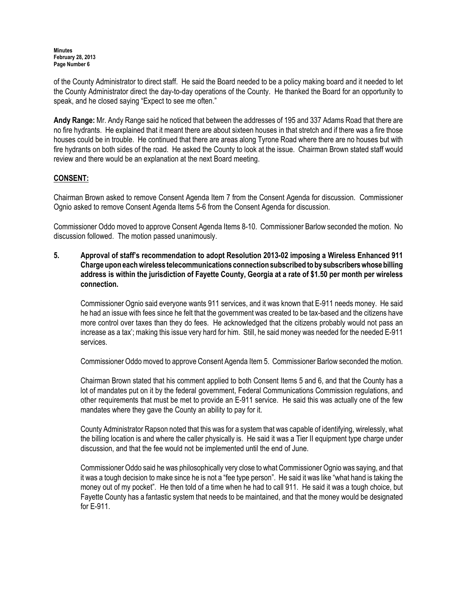of the County Administrator to direct staff. He said the Board needed to be a policy making board and it needed to let the County Administrator direct the day-to-day operations of the County. He thanked the Board for an opportunity to speak, and he closed saying "Expect to see me often."

Andy Range: Mr. Andy Range said he noticed that between the addresses of 195 and 337 Adams Road that there are no fire hydrants. He explained that it meant there are about sixteen houses in that stretch and if there was a fire those houses could be in trouble. He continued that there are areas along Tyrone Road where there are no houses but with fire hydrants on both sides of the road. He asked the County to look at the issue. Chairman Brown stated staff would review and there would be an explanation at the next Board meeting.

# CONSENT:

Chairman Brown asked to remove Consent Agenda Item 7 from the Consent Agenda for discussion. Commissioner Ognio asked to remove Consent Agenda Items 5-6 from the Consent Agenda for discussion.

Commissioner Oddo moved to approve Consent Agenda Items 8-10. Commissioner Barlow seconded the motion. No discussion followed. The motion passed unanimously.

5. Approval of staff's recommendation to adopt Resolution 2013-02 imposing a Wireless Enhanced 911 Charge upon each wireless telecommunications connection subscribed to by subscribers whose billing address is within the jurisdiction of Fayette County, Georgia at a rate of \$1.50 per month per wireless connection.

Commissioner Ognio said everyone wants 911 services, and it was known that E-911 needs money. He said he had an issue with fees since he felt that the government was created to be tax-based and the citizens have more control over taxes than they do fees. He acknowledged that the citizens probably would not pass an increase as a tax'; making this issue very hard for him. Still, he said money was needed for the needed E-911 services.

Commissioner Oddo moved to approve Consent Agenda Item 5. Commissioner Barlow seconded the motion.

Chairman Brown stated that his comment applied to both Consent Items 5 and 6, and that the County has a lot of mandates put on it by the federal government, Federal Communications Commission regulations, and other requirements that must be met to provide an E-911 service. He said this was actually one of the few mandates where they gave the County an ability to pay for it.

County Administrator Rapson noted that this was for a system that was capable of identifying, wirelessly, what the billing location is and where the caller physically is. He said it was a Tier II equipment type charge under discussion, and that the fee would not be implemented until the end of June.

Commissioner Oddo said he was philosophically very close to what Commissioner Ognio was saying, and that it was a tough decision to make since he is not a "fee type person". He said it was like "what hand is taking the money out of my pocket". He then told of a time when he had to call 911. He said it was a tough choice, but Fayette County has a fantastic system that needs to be maintained, and that the money would be designated for E-911.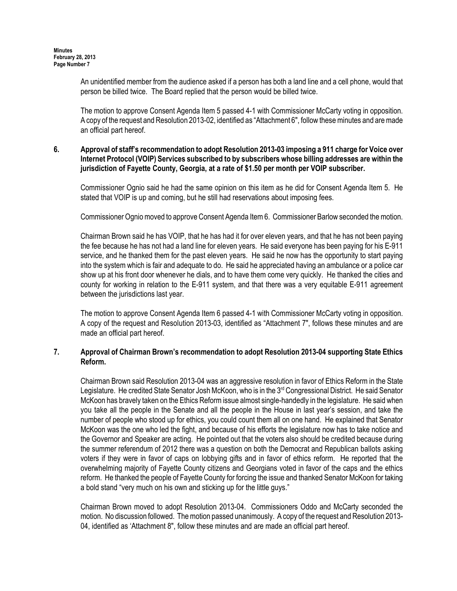An unidentified member from the audience asked if a person has both a land line and a cell phone, would that person be billed twice. The Board replied that the person would be billed twice.

The motion to approve Consent Agenda Item 5 passed 4-1 with Commissioner McCarty voting in opposition. A copy of the request and Resolution 2013-02, identified as "Attachment 6", follow these minutes and are made an official part hereof.

### 6. Approval of staff's recommendation to adopt Resolution 2013-03 imposing a 911 charge for Voice over Internet Protocol (VOIP) Services subscribed to by subscribers whose billing addresses are within the jurisdiction of Fayette County, Georgia, at a rate of \$1.50 per month per VOIP subscriber.

Commissioner Ognio said he had the same opinion on this item as he did for Consent Agenda Item 5. He stated that VOIP is up and coming, but he still had reservations about imposing fees.

Commissioner Ognio moved to approve Consent Agenda Item 6. Commissioner Barlow seconded the motion.

Chairman Brown said he has VOIP, that he has had it for over eleven years, and that he has not been paying the fee because he has not had a land line for eleven years. He said everyone has been paying for his E-911 service, and he thanked them for the past eleven years. He said he now has the opportunity to start paying into the system which is fair and adequate to do. He said he appreciated having an ambulance or a police car show up at his front door whenever he dials, and to have them come very quickly. He thanked the cities and county for working in relation to the E-911 system, and that there was a very equitable E-911 agreement between the jurisdictions last year.

 The motion to approve Consent Agenda Item 6 passed 4-1 with Commissioner McCarty voting in opposition. A copy of the request and Resolution 2013-03, identified as "Attachment 7", follows these minutes and are made an official part hereof.

## 7. Approval of Chairman Brown's recommendation to adopt Resolution 2013-04 supporting State Ethics Reform.

Chairman Brown said Resolution 2013-04 was an aggressive resolution in favor of Ethics Reform in the State Legislature. He credited State Senator Josh McKoon, who is in the 3<sup>rd</sup> Congressional District. He said Senator McKoon has bravely taken on the Ethics Reform issue almost single-handedly in the legislature. He said when you take all the people in the Senate and all the people in the House in last year's session, and take the number of people who stood up for ethics, you could count them all on one hand. He explained that Senator McKoon was the one who led the fight, and because of his efforts the legislature now has to take notice and the Governor and Speaker are acting. He pointed out that the voters also should be credited because during the summer referendum of 2012 there was a question on both the Democrat and Republican ballots asking voters if they were in favor of caps on lobbying gifts and in favor of ethics reform. He reported that the overwhelming majority of Fayette County citizens and Georgians voted in favor of the caps and the ethics reform. He thanked the people of Fayette County for forcing the issue and thanked Senator McKoon for taking a bold stand "very much on his own and sticking up for the little guys."

Chairman Brown moved to adopt Resolution 2013-04. Commissioners Oddo and McCarty seconded the motion. No discussion followed. The motion passed unanimously. A copy of the request and Resolution 2013- 04, identified as 'Attachment 8", follow these minutes and are made an official part hereof.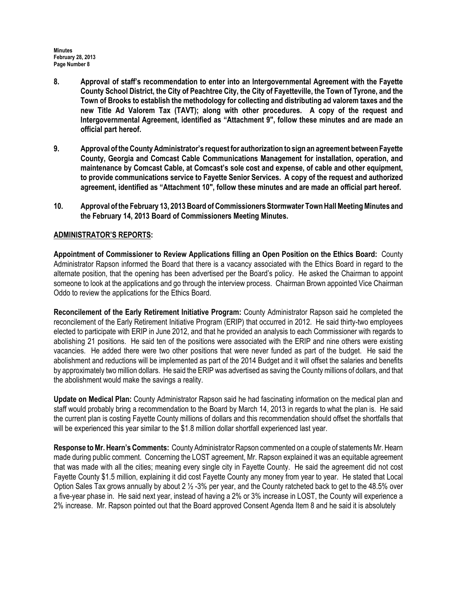- 8. Approval of staff's recommendation to enter into an Intergovernmental Agreement with the Fayette County School District, the City of Peachtree City, the City of Fayetteville, the Town of Tyrone, and the Town of Brooks to establish the methodology for collecting and distributing ad valorem taxes and the new Title Ad Valorem Tax (TAVT); along with other procedures. A copy of the request and Intergovernmental Agreement, identified as "Attachment 9", follow these minutes and are made an official part hereof.
- 9. Approval of the County Administrator's request for authorization to sign an agreement between Fayette County, Georgia and Comcast Cable Communications Management for installation, operation, and maintenance by Comcast Cable, at Comcast's sole cost and expense, of cable and other equipment, to provide communications service to Fayette Senior Services. A copy of the request and authorized agreement, identified as "Attachment 10", follow these minutes and are made an official part hereof.
- 10. Approval of the February 13, 2013 Board of Commissioners Stormwater Town Hall Meeting Minutes and the February 14, 2013 Board of Commissioners Meeting Minutes.

## ADMINISTRATOR'S REPORTS:

Appointment of Commissioner to Review Applications filling an Open Position on the Ethics Board: County Administrator Rapson informed the Board that there is a vacancy associated with the Ethics Board in regard to the alternate position, that the opening has been advertised per the Board's policy. He asked the Chairman to appoint someone to look at the applications and go through the interview process. Chairman Brown appointed Vice Chairman Oddo to review the applications for the Ethics Board.

Reconcilement of the Early Retirement Initiative Program: County Administrator Rapson said he completed the reconcilement of the Early Retirement Initiative Program (ERIP) that occurred in 2012. He said thirty-two employees elected to participate with ERIP in June 2012, and that he provided an analysis to each Commissioner with regards to abolishing 21 positions. He said ten of the positions were associated with the ERIP and nine others were existing vacancies. He added there were two other positions that were never funded as part of the budget. He said the abolishment and reductions will be implemented as part of the 2014 Budget and it will offset the salaries and benefits by approximately two million dollars. He said the ERIP was advertised as saving the County millions of dollars, and that the abolishment would make the savings a reality.

Update on Medical Plan: County Administrator Rapson said he had fascinating information on the medical plan and staff would probably bring a recommendation to the Board by March 14, 2013 in regards to what the plan is. He said the current plan is costing Fayette County millions of dollars and this recommendation should offset the shortfalls that will be experienced this year similar to the \$1.8 million dollar shortfall experienced last year.

Response to Mr. Hearn's Comments: County Administrator Rapson commented on a couple of statements Mr. Hearn made during public comment. Concerning the LOST agreement, Mr. Rapson explained it was an equitable agreement that was made with all the cities; meaning every single city in Fayette County. He said the agreement did not cost Fayette County \$1.5 million, explaining it did cost Fayette County any money from year to year. He stated that Local Option Sales Tax grows annually by about 2  $\frac{1}{2}$ -3% per year, and the County ratcheted back to get to the 48.5% over a five-year phase in. He said next year, instead of having a 2% or 3% increase in LOST, the County will experience a 2% increase. Mr. Rapson pointed out that the Board approved Consent Agenda Item 8 and he said it is absolutely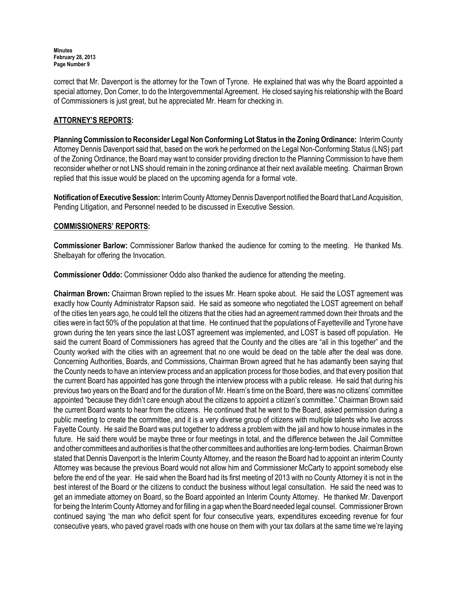correct that Mr. Davenport is the attorney for the Town of Tyrone. He explained that was why the Board appointed a special attorney, Don Comer, to do the Intergovernmental Agreement. He closed saying his relationship with the Board of Commissioners is just great, but he appreciated Mr. Hearn for checking in.

# ATTORNEY'S REPORTS:

Planning Commission to Reconsider Legal Non Conforming Lot Status in the Zoning Ordinance: Interim County Attorney Dennis Davenport said that, based on the work he performed on the Legal Non-Conforming Status (LNS) part of the Zoning Ordinance, the Board may want to consider providing direction to the Planning Commission to have them reconsider whether or not LNS should remain in the zoning ordinance at their next available meeting. Chairman Brown replied that this issue would be placed on the upcoming agenda for a formal vote.

Notification of Executive Session: Interim County Attorney Dennis Davenport notified the Board that Land Acquisition, Pending Litigation, and Personnel needed to be discussed in Executive Session.

## COMMISSIONERS' REPORTS:

Commissioner Barlow: Commissioner Barlow thanked the audience for coming to the meeting. He thanked Ms. Shelbayah for offering the Invocation.

Commissioner Oddo: Commissioner Oddo also thanked the audience for attending the meeting.

Chairman Brown: Chairman Brown replied to the issues Mr. Hearn spoke about. He said the LOST agreement was exactly how County Administrator Rapson said. He said as someone who negotiated the LOST agreement on behalf of the cities ten years ago, he could tell the citizens that the cities had an agreement rammed down their throats and the cities were in fact 50% of the population at that time. He continued that the populations of Fayetteville and Tyrone have grown during the ten years since the last LOST agreement was implemented, and LOST is based off population. He said the current Board of Commissioners has agreed that the County and the cities are "all in this together" and the County worked with the cities with an agreement that no one would be dead on the table after the deal was done. Concerning Authorities, Boards, and Commissions, Chairman Brown agreed that he has adamantly been saying that the County needs to have an interview process and an application process for those bodies, and that every position that the current Board has appointed has gone through the interview process with a public release. He said that during his previous two years on the Board and for the duration of Mr. Hearn's time on the Board, there was no citizens' committee appointed "because they didn't care enough about the citizens to appoint a citizen's committee." Chairman Brown said the current Board wants to hear from the citizens. He continued that he went to the Board, asked permission during a public meeting to create the committee, and it is a very diverse group of citizens with multiple talents who live across Fayette County. He said the Board was put together to address a problem with the jail and how to house inmates in the future. He said there would be maybe three or four meetings in total, and the difference between the Jail Committee and other committees and authorities is that the other committees and authorities are long-term bodies. Chairman Brown stated that Dennis Davenport is the Interim County Attorney, and the reason the Board had to appoint an interim County Attorney was because the previous Board would not allow him and Commissioner McCarty to appoint somebody else before the end of the year. He said when the Board had its first meeting of 2013 with no County Attorney it is not in the best interest of the Board or the citizens to conduct the business without legal consultation. He said the need was to get an immediate attorney on Board, so the Board appointed an Interim County Attorney. He thanked Mr. Davenport for being the Interim County Attorney and for filling in a gap when the Board needed legal counsel. Commissioner Brown continued saying 'the man who deficit spent for four consecutive years, expenditures exceeding revenue for four consecutive years, who paved gravel roads with one house on them with your tax dollars at the same time we're laying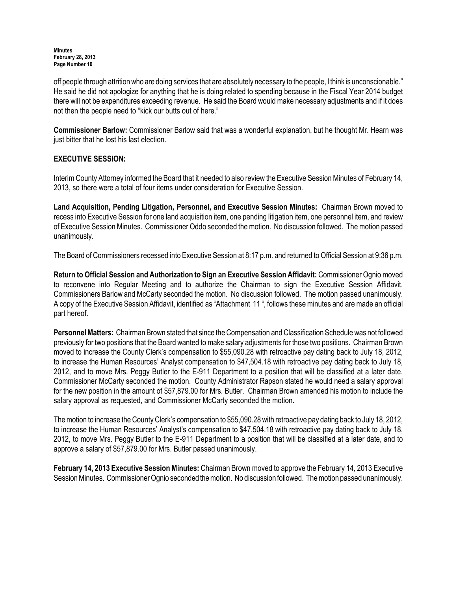off people through attrition who are doing services that are absolutely necessary to the people, I think is unconscionable." He said he did not apologize for anything that he is doing related to spending because in the Fiscal Year 2014 budget there will not be expenditures exceeding revenue. He said the Board would make necessary adjustments and if it does not then the people need to "kick our butts out of here."

Commissioner Barlow: Commissioner Barlow said that was a wonderful explanation, but he thought Mr. Hearn was just bitter that he lost his last election.

## EXECUTIVE SESSION:

Interim County Attorney informed the Board that it needed to also review the Executive Session Minutes of February 14, 2013, so there were a total of four items under consideration for Executive Session.

Land Acquisition, Pending Litigation, Personnel, and Executive Session Minutes: Chairman Brown moved to recess into Executive Session for one land acquisition item, one pending litigation item, one personnel item, and review of Executive Session Minutes. Commissioner Oddo seconded the motion. No discussion followed. The motion passed unanimously.

The Board of Commissioners recessed into Executive Session at 8:17 p.m. and returned to Official Session at 9:36 p.m.

Return to Official Session and Authorization to Sign an Executive Session Affidavit: Commissioner Ognio moved to reconvene into Regular Meeting and to authorize the Chairman to sign the Executive Session Affidavit. Commissioners Barlow and McCarty seconded the motion. No discussion followed. The motion passed unanimously. A copy of the Executive Session Affidavit, identified as "Attachment 11 ", follows these minutes and are made an official part hereof.

Personnel Matters: Chairman Brown stated that since the Compensation and Classification Schedule was not followed previously for two positions that the Board wanted to make salary adjustments for those two positions. Chairman Brown moved to increase the County Clerk's compensation to \$55,090.28 with retroactive pay dating back to July 18, 2012, to increase the Human Resources' Analyst compensation to \$47,504.18 with retroactive pay dating back to July 18, 2012, and to move Mrs. Peggy Butler to the E-911 Department to a position that will be classified at a later date. Commissioner McCarty seconded the motion. County Administrator Rapson stated he would need a salary approval for the new position in the amount of \$57,879.00 for Mrs. Butler. Chairman Brown amended his motion to include the salary approval as requested, and Commissioner McCarty seconded the motion.

The motion to increase the County Clerk's compensation to \$55,090.28 with retroactive pay dating back to July 18, 2012, to increase the Human Resources' Analyst's compensation to \$47,504.18 with retroactive pay dating back to July 18, 2012, to move Mrs. Peggy Butler to the E-911 Department to a position that will be classified at a later date, and to approve a salary of \$57,879.00 for Mrs. Butler passed unanimously.

February 14, 2013 Executive Session Minutes: Chairman Brown moved to approve the February 14, 2013 Executive Session Minutes. Commissioner Ognio seconded the motion. No discussion followed. The motion passed unanimously.